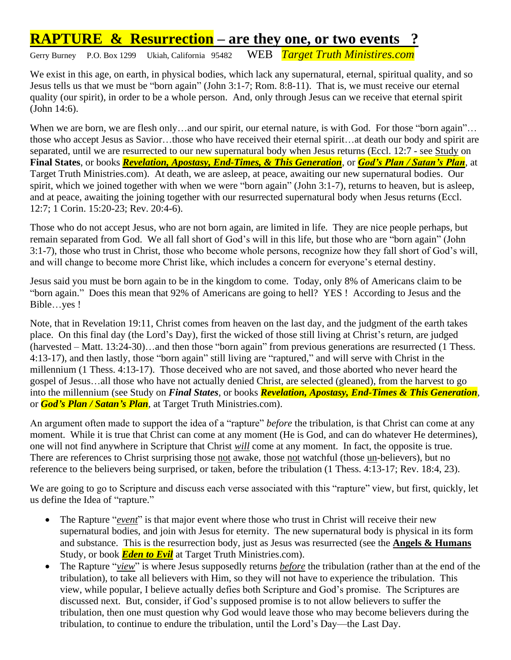## **RAPTURE & Resurrection – are they one, or two events ?**

Gerry Burney P.O. Box 1299 Ukiah, California 95482 WEB *Target Truth Ministires.com*

We exist in this age, on earth, in physical bodies, which lack any supernatural, eternal, spiritual quality, and so Jesus tells us that we must be "born again" (John 3:1-7; Rom. 8:8-11). That is, we must receive our eternal quality (our spirit), in order to be a whole person. And, only through Jesus can we receive that eternal spirit (John 14:6).

When we are born, we are flesh only…and our spirit, our eternal nature, is with God. For those "born again"… those who accept Jesus as Savior…those who have received their eternal spirit…at death our body and spirit are separated, until we are resurrected to our new supernatural body when Jesus returns (Eccl. 12:7 - see Study on **Final States**, or books *Revelation, Apostasy, End-Times, & This Generation*, or *God's Plan / Satan's Plan*, at Target Truth Ministries.com). At death, we are asleep, at peace, awaiting our new supernatural bodies. Our spirit, which we joined together with when we were "born again" (John 3:1-7), returns to heaven, but is asleep, and at peace, awaiting the joining together with our resurrected supernatural body when Jesus returns (Eccl. 12:7; 1 Corin. 15:20-23; Rev. 20:4-6).

Those who do not accept Jesus, who are not born again, are limited in life. They are nice people perhaps, but remain separated from God. We all fall short of God's will in this life, but those who are "born again" (John 3:1-7), those who trust in Christ, those who become whole persons, recognize how they fall short of God's will, and will change to become more Christ like, which includes a concern for everyone's eternal destiny.

Jesus said you must be born again to be in the kingdom to come. Today, only 8% of Americans claim to be "born again." Does this mean that 92% of Americans are going to hell? YES ! According to Jesus and the Bible…yes !

Note, that in Revelation 19:11, Christ comes from heaven on the last day, and the judgment of the earth takes place. On this final day (the Lord's Day), first the wicked of those still living at Christ's return, are judged (harvested – Matt. 13:24-30)…and then those "born again" from previous generations are resurrected (1 Thess. 4:13-17), and then lastly, those "born again" still living are "raptured," and will serve with Christ in the millennium (1 Thess. 4:13-17). Those deceived who are not saved, and those aborted who never heard the gospel of Jesus…all those who have not actually denied Christ, are selected (gleaned), from the harvest to go into the millennium (see Study on *Final States*, or books *Revelation, Apostasy, End-Times & This Generation*, or *God's Plan / Satan's Plan*, at Target Truth Ministries.com).

An argument often made to support the idea of a "rapture" *before* the tribulation, is that Christ can come at any moment. While it is true that Christ can come at any moment (He is God, and can do whatever He determines), one will not find anywhere in Scripture that Christ *will* come at any moment. In fact, the opposite is true. There are references to Christ surprising those not awake, those not watchful (those un-believers), but no reference to the believers being surprised, or taken, before the tribulation (1 Thess. 4:13-17; Rev. 18:4, 23).

We are going to go to Scripture and discuss each verse associated with this "rapture" view, but first, quickly, let us define the Idea of "rapture."

- The Rapture "*event*" is that major event where those who trust in Christ will receive their new supernatural bodies, and join with Jesus for eternity. The new supernatural body is physical in its form and substance. This is the resurrection body, just as Jesus was resurrected (see the **Angels & Humans** Study, or book *Eden to Evil* at Target Truth Ministries.com).
- The Rapture "*view*" is where Jesus supposedly returns *before* the tribulation (rather than at the end of the tribulation), to take all believers with Him, so they will not have to experience the tribulation. This view, while popular, I believe actually defies both Scripture and God's promise. The Scriptures are discussed next. But, consider, if God's supposed promise is to not allow believers to suffer the tribulation, then one must question why God would leave those who may become believers during the tribulation, to continue to endure the tribulation, until the Lord's Day—the Last Day.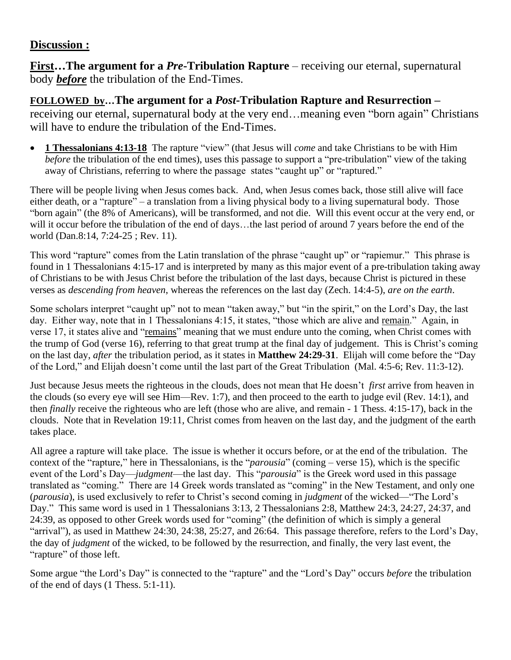## **Discussion :**

**First…The argument for a** *Pre***-Tribulation Rapture** – receiving our eternal, supernatural body *before* the tribulation of the End-Times.

**FOLLOWED by…The argument for a** *Post***-Tribulation Rapture and Resurrection –** receiving our eternal, supernatural body at the very end…meaning even "born again" Christians will have to endure the tribulation of the End-Times.

• **1 Thessalonians 4:13-18** The rapture "view" (that Jesus will *come* and take Christians to be with Him *before* the tribulation of the end times), uses this passage to support a "pre-tribulation" view of the taking away of Christians, referring to where the passage states "caught up" or "raptured."

There will be people living when Jesus comes back. And, when Jesus comes back, those still alive will face either death, or a "rapture" – a translation from a living physical body to a living supernatural body. Those "born again" (the 8% of Americans), will be transformed, and not die. Will this event occur at the very end, or will it occur before the tribulation of the end of days...the last period of around 7 years before the end of the world (Dan.8:14, 7:24-25 ; Rev. 11).

This word "rapture" comes from the Latin translation of the phrase "caught up" or "rapiemur." This phrase is found in 1 Thessalonians 4:15-17 and is interpreted by many as this major event of a pre-tribulation taking away of Christians to be with Jesus Christ before the tribulation of the last days, because Christ is pictured in these verses as *descending from heaven*, whereas the references on the last day (Zech. 14:4-5), *are on the earth*.

Some scholars interpret "caught up" not to mean "taken away," but "in the spirit," on the Lord's Day, the last day. Either way, note that in 1 Thessalonians 4:15, it states, "those which are alive and remain." Again, in verse 17, it states alive and "remains" meaning that we must endure unto the coming, when Christ comes with the trump of God (verse 16), referring to that great trump at the final day of judgement. This is Christ's coming on the last day, *after* the tribulation period, as it states in **Matthew 24:29-31**. Elijah will come before the "Day of the Lord," and Elijah doesn't come until the last part of the Great Tribulation (Mal. 4:5-6; Rev. 11:3-12).

Just because Jesus meets the righteous in the clouds, does not mean that He doesn't *first* arrive from heaven in the clouds (so every eye will see Him—Rev. 1:7), and then proceed to the earth to judge evil (Rev. 14:1), and then *finally* receive the righteous who are left (those who are alive, and remain - 1 Thess. 4:15-17), back in the clouds. Note that in Revelation 19:11, Christ comes from heaven on the last day, and the judgment of the earth takes place.

All agree a rapture will take place. The issue is whether it occurs before, or at the end of the tribulation. The context of the "rapture," here in Thessalonians, is the "*parousia*" (coming – verse 15), which is the specific event of the Lord's Day—*judgment*—the last day. This "*parousia*" is the Greek word used in this passage translated as "coming." There are 14 Greek words translated as "coming" in the New Testament, and only one (*parousia*), is used exclusively to refer to Christ's second coming in *judgment* of the wicked—"The Lord's Day." This same word is used in 1 Thessalonians 3:13, 2 Thessalonians 2:8, Matthew 24:3, 24:27, 24:37, and 24:39, as opposed to other Greek words used for "coming" (the definition of which is simply a general "arrival"), as used in Matthew 24:30, 24:38, 25:27, and 26:64. This passage therefore, refers to the Lord's Day, the day of *judgment* of the wicked, to be followed by the resurrection, and finally, the very last event, the "rapture" of those left.

Some argue "the Lord's Day" is connected to the "rapture" and the "Lord's Day" occurs *before* the tribulation of the end of days (1 Thess. 5:1-11).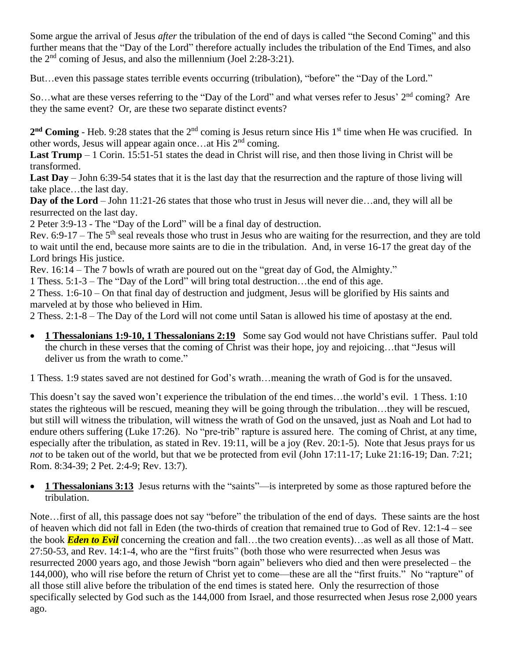Some argue the arrival of Jesus *after* the tribulation of the end of days is called "the Second Coming" and this further means that the "Day of the Lord" therefore actually includes the tribulation of the End Times, and also the 2nd coming of Jesus, and also the millennium (Joel 2:28-3:21).

But…even this passage states terrible events occurring (tribulation), "before" the "Day of the Lord."

So...what are these verses referring to the "Day of the Lord" and what verses refer to Jesus' 2<sup>nd</sup> coming? Are they the same event? Or, are these two separate distinct events?

2<sup>nd</sup> Coming - Heb. 9:28 states that the 2<sup>nd</sup> coming is Jesus return since His 1<sup>st</sup> time when He was crucified. In other words, Jesus will appear again once…at His 2nd coming.

Last Trump – 1 Corin. 15:51-51 states the dead in Christ will rise, and then those living in Christ will be transformed.

**Last Day** – John 6:39-54 states that it is the last day that the resurrection and the rapture of those living will take place…the last day.

**Day of the Lord** – John 11:21-26 states that those who trust in Jesus will never die…and, they will all be resurrected on the last day.

2 Peter 3:9-13 - The "Day of the Lord" will be a final day of destruction.

Rev. 6:9-17 – The  $5<sup>th</sup>$  seal reveals those who trust in Jesus who are waiting for the resurrection, and they are told to wait until the end, because more saints are to die in the tribulation. And, in verse 16-17 the great day of the Lord brings His justice.

Rev. 16:14 – The 7 bowls of wrath are poured out on the "great day of God, the Almighty."

1 Thess. 5:1-3 – The "Day of the Lord" will bring total destruction…the end of this age.

2 Thess. 1:6-10 – On that final day of destruction and judgment, Jesus will be glorified by His saints and marveled at by those who believed in Him.

2 Thess. 2:1-8 – The Day of the Lord will not come until Satan is allowed his time of apostasy at the end.

• **1 Thessalonians 1:9-10, 1 Thessalonians 2:19** Some say God would not have Christians suffer. Paul told the church in these verses that the coming of Christ was their hope, joy and rejoicing…that "Jesus will deliver us from the wrath to come."

1 Thess. 1:9 states saved are not destined for God's wrath…meaning the wrath of God is for the unsaved.

This doesn't say the saved won't experience the tribulation of the end times…the world's evil. 1 Thess. 1:10 states the righteous will be rescued, meaning they will be going through the tribulation…they will be rescued, but still will witness the tribulation, will witness the wrath of God on the unsaved, just as Noah and Lot had to endure others suffering (Luke 17:26). No "pre-trib" rapture is assured here. The coming of Christ, at any time, especially after the tribulation, as stated in Rev. 19:11, will be a joy (Rev. 20:1-5). Note that Jesus prays for us *not* to be taken out of the world, but that we be protected from evil (John 17:11-17; Luke 21:16-19; Dan. 7:21; Rom. 8:34-39; 2 Pet. 2:4-9; Rev. 13:7).

• **1 Thessalonians 3:13** Jesus returns with the "saints"—is interpreted by some as those raptured before the tribulation.

Note…first of all, this passage does not say "before" the tribulation of the end of days. These saints are the host of heaven which did not fall in Eden (the two-thirds of creation that remained true to God of Rev. 12:1-4 – see the book *Eden to Evil* concerning the creation and fall…the two creation events)…as well as all those of Matt. 27:50-53, and Rev. 14:1-4, who are the "first fruits" (both those who were resurrected when Jesus was resurrected 2000 years ago, and those Jewish "born again" believers who died and then were preselected – the 144,000), who will rise before the return of Christ yet to come—these are all the "first fruits." No "rapture" of all those still alive before the tribulation of the end times is stated here. Only the resurrection of those specifically selected by God such as the 144,000 from Israel, and those resurrected when Jesus rose 2,000 years ago.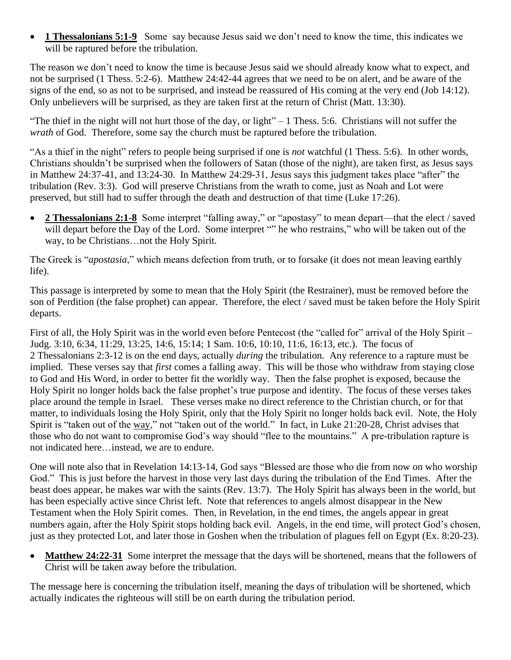• **1 Thessalonians 5:1-9** Some say because Jesus said we don't need to know the time, this indicates we will be raptured before the tribulation.

The reason we don't need to know the time is because Jesus said we should already know what to expect, and not be surprised (1 Thess. 5:2-6). Matthew 24:42-44 agrees that we need to be on alert, and be aware of the signs of the end, so as not to be surprised, and instead be reassured of His coming at the very end (Job 14:12). Only unbelievers will be surprised, as they are taken first at the return of Christ (Matt. 13:30).

"The thief in the night will not hurt those of the day, or light"  $-1$  Thess. 5:6. Christians will not suffer the *wrath* of God. Therefore, some say the church must be raptured before the tribulation.

"As a thief in the night" refers to people being surprised if one is *not* watchful (1 Thess. 5:6). In other words, Christians shouldn't be surprised when the followers of Satan (those of the night), are taken first, as Jesus says in Matthew 24:37-41, and 13:24-30. In Matthew 24:29-31, Jesus says this judgment takes place "after" the tribulation (Rev. 3:3). God will preserve Christians from the wrath to come, just as Noah and Lot were preserved, but still had to suffer through the death and destruction of that time (Luke 17:26).

• **2 Thessalonians 2:1-8** Some interpret "falling away," or "apostasy" to mean depart—that the elect / saved will depart before the Day of the Lord. Some interpret "" he who restrains," who will be taken out of the way, to be Christians…not the Holy Spirit.

The Greek is "*apostasia*," which means defection from truth, or to forsake (it does not mean leaving earthly life).

This passage is interpreted by some to mean that the Holy Spirit (the Restrainer), must be removed before the son of Perdition (the false prophet) can appear. Therefore, the elect / saved must be taken before the Holy Spirit departs.

First of all, the Holy Spirit was in the world even before Pentecost (the "called for" arrival of the Holy Spirit – Judg. 3:10, 6:34, 11:29, 13:25, 14:6, 15:14; 1 Sam. 10:6, 10:10, 11:6, 16:13, etc.). The focus of 2 Thessalonians 2:3-12 is on the end days, actually *during* the tribulation. Any reference to a rapture must be implied. These verses say that *first* comes a falling away. This will be those who withdraw from staying close to God and His Word, in order to better fit the worldly way. Then the false prophet is exposed, because the Holy Spirit no longer holds back the false prophet's true purpose and identity. The focus of these verses takes place around the temple in Israel. These verses make no direct reference to the Christian church, or for that matter, to individuals losing the Holy Spirit, only that the Holy Spirit no longer holds back evil. Note, the Holy Spirit is "taken out of the way," not "taken out of the world." In fact, in Luke 21:20-28, Christ advises that those who do not want to compromise God's way should "flee to the mountains." A pre-tribulation rapture is not indicated here…instead, we are to endure.

One will note also that in Revelation 14:13-14, God says "Blessed are those who die from now on who worship God." This is just before the harvest in those very last days during the tribulation of the End Times. After the beast does appear, he makes war with the saints (Rev. 13:7). The Holy Spirit has always been in the world, but has been especially active since Christ left. Note that references to angels almost disappear in the New Testament when the Holy Spirit comes. Then, in Revelation, in the end times, the angels appear in great numbers again, after the Holy Spirit stops holding back evil. Angels, in the end time, will protect God's chosen, just as they protected Lot, and later those in Goshen when the tribulation of plagues fell on Egypt (Ex. 8:20-23).

• **Matthew 24:22-31** Some interpret the message that the days will be shortened, means that the followers of Christ will be taken away before the tribulation.

The message here is concerning the tribulation itself, meaning the days of tribulation will be shortened, which actually indicates the righteous will still be on earth during the tribulation period.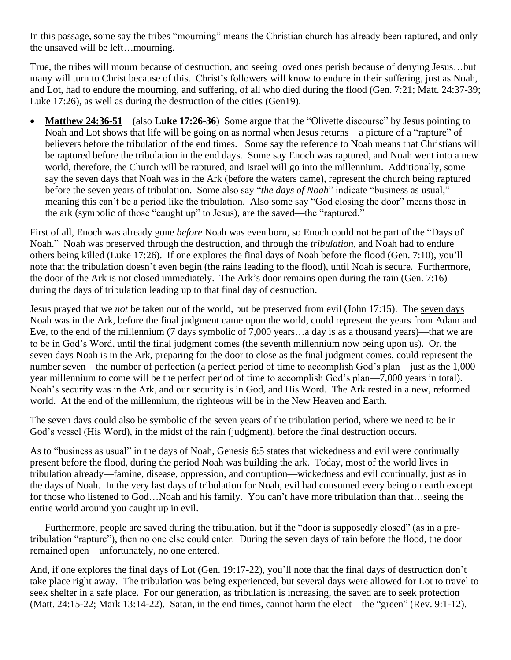In this passage, **s**ome say the tribes "mourning" means the Christian church has already been raptured, and only the unsaved will be left…mourning.

True, the tribes will mourn because of destruction, and seeing loved ones perish because of denying Jesus…but many will turn to Christ because of this. Christ's followers will know to endure in their suffering, just as Noah, and Lot, had to endure the mourning, and suffering, of all who died during the flood (Gen. 7:21; Matt. 24:37-39; Luke 17:26), as well as during the destruction of the cities (Gen19).

• **Matthew 24:36-51** (also **Luke 17:26-36**) Some argue that the "Olivette discourse" by Jesus pointing to Noah and Lot shows that life will be going on as normal when Jesus returns – a picture of a "rapture" of believers before the tribulation of the end times. Some say the reference to Noah means that Christians will be raptured before the tribulation in the end days. Some say Enoch was raptured, and Noah went into a new world, therefore, the Church will be raptured, and Israel will go into the millennium. Additionally, some say the seven days that Noah was in the Ark (before the waters came), represent the church being raptured before the seven years of tribulation. Some also say "*the days of Noah*" indicate "business as usual," meaning this can't be a period like the tribulation. Also some say "God closing the door" means those in the ark (symbolic of those "caught up" to Jesus), are the saved—the "raptured."

First of all, Enoch was already gone *before* Noah was even born, so Enoch could not be part of the "Days of Noah." Noah was preserved through the destruction, and through the *tribulation,* and Noah had to endure others being killed (Luke 17:26). If one explores the final days of Noah before the flood (Gen. 7:10), you'll note that the tribulation doesn't even begin (the rains leading to the flood), until Noah is secure. Furthermore, the door of the Ark is not closed immediately. The Ark's door remains open during the rain (Gen. 7:16) – during the days of tribulation leading up to that final day of destruction.

Jesus prayed that we *not* be taken out of the world, but be preserved from evil (John 17:15). The seven days Noah was in the Ark, before the final judgment came upon the world, could represent the years from Adam and Eve, to the end of the millennium (7 days symbolic of 7,000 years…a day is as a thousand years)—that we are to be in God's Word, until the final judgment comes (the seventh millennium now being upon us). Or, the seven days Noah is in the Ark, preparing for the door to close as the final judgment comes, could represent the number seven—the number of perfection (a perfect period of time to accomplish God's plan—just as the 1,000 year millennium to come will be the perfect period of time to accomplish God's plan—7,000 years in total). Noah's security was in the Ark, and our security is in God, and His Word. The Ark rested in a new, reformed world. At the end of the millennium, the righteous will be in the New Heaven and Earth.

The seven days could also be symbolic of the seven years of the tribulation period, where we need to be in God's vessel (His Word), in the midst of the rain (judgment), before the final destruction occurs.

As to "business as usual" in the days of Noah, Genesis 6:5 states that wickedness and evil were continually present before the flood, during the period Noah was building the ark. Today, most of the world lives in tribulation already—famine, disease, oppression, and corruption—wickedness and evil continually, just as in the days of Noah. In the very last days of tribulation for Noah, evil had consumed every being on earth except for those who listened to God...Noah and his family. You can't have more tribulation than that…seeing the entire world around you caught up in evil.

 Furthermore, people are saved during the tribulation, but if the "door is supposedly closed" (as in a pretribulation "rapture"), then no one else could enter. During the seven days of rain before the flood, the door remained open—unfortunately, no one entered.

And, if one explores the final days of Lot (Gen. 19:17-22), you'll note that the final days of destruction don't take place right away. The tribulation was being experienced, but several days were allowed for Lot to travel to seek shelter in a safe place. For our generation, as tribulation is increasing, the saved are to seek protection (Matt. 24:15-22; Mark 13:14-22). Satan, in the end times, cannot harm the elect – the "green" (Rev. 9:1-12).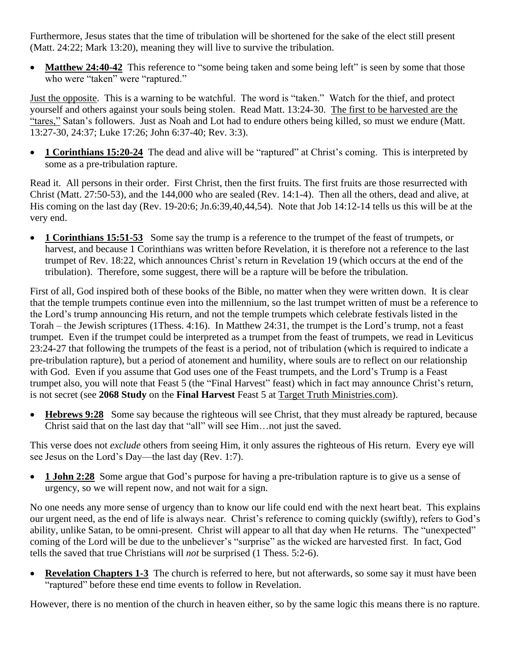Furthermore, Jesus states that the time of tribulation will be shortened for the sake of the elect still present (Matt. 24:22; Mark 13:20), meaning they will live to survive the tribulation.

• **Matthew 24:40-42** This reference to "some being taken and some being left" is seen by some that those who were "taken" were "raptured."

Just the opposite. This is a warning to be watchful. The word is "taken." Watch for the thief, and protect yourself and others against your souls being stolen. Read Matt. 13:24-30. The first to be harvested are the "tares," Satan's followers. Just as Noah and Lot had to endure others being killed, so must we endure (Matt. 13:27-30, 24:37; Luke 17:26; John 6:37-40; Rev. 3:3).

• **1 Corinthians 15:20-24** The dead and alive will be "raptured" at Christ's coming. This is interpreted by some as a pre-tribulation rapture.

Read it. All persons in their order. First Christ, then the first fruits. The first fruits are those resurrected with Christ (Matt. 27:50-53), and the 144,000 who are sealed (Rev. 14:1-4). Then all the others, dead and alive, at His coming on the last day (Rev. 19-20:6; Jn.6:39,40,44,54). Note that Job 14:12-14 tells us this will be at the very end.

• **1 Corinthians 15:51-53** Some say the trump is a reference to the trumpet of the feast of trumpets, or harvest, and because 1 Corinthians was written before Revelation, it is therefore not a reference to the last trumpet of Rev. 18:22, which announces Christ's return in Revelation 19 (which occurs at the end of the tribulation). Therefore, some suggest, there will be a rapture will be before the tribulation.

First of all, God inspired both of these books of the Bible, no matter when they were written down. It is clear that the temple trumpets continue even into the millennium, so the last trumpet written of must be a reference to the Lord's trump announcing His return, and not the temple trumpets which celebrate festivals listed in the Torah – the Jewish scriptures (1Thess. 4:16). In Matthew 24:31, the trumpet is the Lord's trump, not a feast trumpet. Even if the trumpet could be interpreted as a trumpet from the feast of trumpets, we read in Leviticus 23:24-27 that following the trumpets of the feast is a period, not of tribulation (which is required to indicate a pre-tribulation rapture), but a period of atonement and humility, where souls are to reflect on our relationship with God. Even if you assume that God uses one of the Feast trumpets, and the Lord's Trump is a Feast trumpet also, you will note that Feast 5 (the "Final Harvest" feast) which in fact may announce Christ's return, is not secret (see **2068 Study** on the **Final Harvest** Feast 5 at Target Truth Ministries.com).

• **Hebrews 9:28** Some say because the righteous will see Christ, that they must already be raptured, because Christ said that on the last day that "all" will see Him…not just the saved.

This verse does not *exclude* others from seeing Him, it only assures the righteous of His return. Every eye will see Jesus on the Lord's Day—the last day (Rev. 1:7).

• **1 John 2:28** Some argue that God's purpose for having a pre-tribulation rapture is to give us a sense of urgency, so we will repent now, and not wait for a sign.

No one needs any more sense of urgency than to know our life could end with the next heart beat. This explains our urgent need, as the end of life is always near. Christ's reference to coming quickly (swiftly), refers to God's ability, unlike Satan, to be omni-present. Christ will appear to all that day when He returns. The "unexpected" coming of the Lord will be due to the unbeliever's "surprise" as the wicked are harvested first. In fact, God tells the saved that true Christians will *not* be surprised (1 Thess. 5:2-6).

• **Revelation Chapters 1-3** The church is referred to here, but not afterwards, so some say it must have been "raptured" before these end time events to follow in Revelation.

However, there is no mention of the church in heaven either, so by the same logic this means there is no rapture.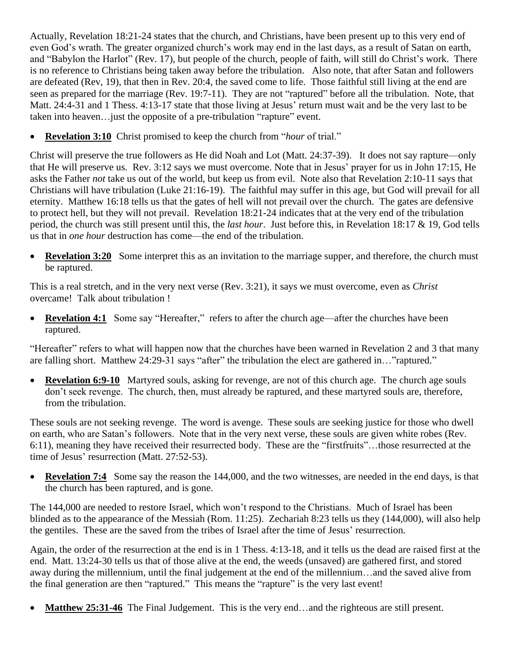Actually, Revelation 18:21-24 states that the church, and Christians, have been present up to this very end of even God's wrath. The greater organized church's work may end in the last days, as a result of Satan on earth, and "Babylon the Harlot" (Rev. 17), but people of the church, people of faith, will still do Christ's work. There is no reference to Christians being taken away before the tribulation. Also note, that after Satan and followers are defeated (Rev, 19), that then in Rev. 20:4, the saved come to life. Those faithful still living at the end are seen as prepared for the marriage (Rev. 19:7-11). They are not "raptured" before all the tribulation. Note, that Matt. 24:4-31 and 1 Thess. 4:13-17 state that those living at Jesus' return must wait and be the very last to be taken into heaven…just the opposite of a pre-tribulation "rapture" event.

• **Revelation 3:10** Christ promised to keep the church from "*hour* of trial."

Christ will preserve the true followers as He did Noah and Lot (Matt. 24:37-39). It does not say rapture—only that He will preserve us. Rev. 3:12 says we must overcome. Note that in Jesus' prayer for us in John 17:15, He asks the Father *not* take us out of the world, but keep us from evil. Note also that Revelation 2:10-11 says that Christians will have tribulation (Luke 21:16-19). The faithful may suffer in this age, but God will prevail for all eternity. Matthew 16:18 tells us that the gates of hell will not prevail over the church. The gates are defensive to protect hell, but they will not prevail. Revelation 18:21-24 indicates that at the very end of the tribulation period, the church was still present until this, the *last hour*. Just before this, in Revelation 18:17 & 19, God tells us that in *one hour* destruction has come—the end of the tribulation.

• **Revelation 3:20** Some interpret this as an invitation to the marriage supper, and therefore, the church must be raptured.

This is a real stretch, and in the very next verse (Rev. 3:21), it says we must overcome, even as *Christ* overcame! Talk about tribulation !

• **Revelation 4:1** Some say "Hereafter," refers to after the church age—after the churches have been raptured.

"Hereafter" refers to what will happen now that the churches have been warned in Revelation 2 and 3 that many are falling short. Matthew 24:29-31 says "after" the tribulation the elect are gathered in…"raptured."

• **Revelation 6:9-10** Martyred souls, asking for revenge, are not of this church age. The church age souls don't seek revenge. The church, then, must already be raptured, and these martyred souls are, therefore, from the tribulation.

These souls are not seeking revenge. The word is avenge. These souls are seeking justice for those who dwell on earth, who are Satan's followers. Note that in the very next verse, these souls are given white robes (Rev. 6:11), meaning they have received their resurrected body. These are the "firstfruits"…those resurrected at the time of Jesus' resurrection (Matt. 27:52-53).

• **Revelation 7:4** Some say the reason the 144,000, and the two witnesses, are needed in the end days, is that the church has been raptured, and is gone.

The 144,000 are needed to restore Israel, which won't respond to the Christians. Much of Israel has been blinded as to the appearance of the Messiah (Rom. 11:25). Zechariah 8:23 tells us they (144,000), will also help the gentiles. These are the saved from the tribes of Israel after the time of Jesus' resurrection.

Again, the order of the resurrection at the end is in 1 Thess. 4:13-18, and it tells us the dead are raised first at the end. Matt. 13:24-30 tells us that of those alive at the end, the weeds (unsaved) are gathered first, and stored away during the millennium, until the final judgement at the end of the millennium…and the saved alive from the final generation are then "raptured." This means the "rapture" is the very last event!

**Matthew 25:31-46** The Final Judgement. This is the very end...and the righteous are still present.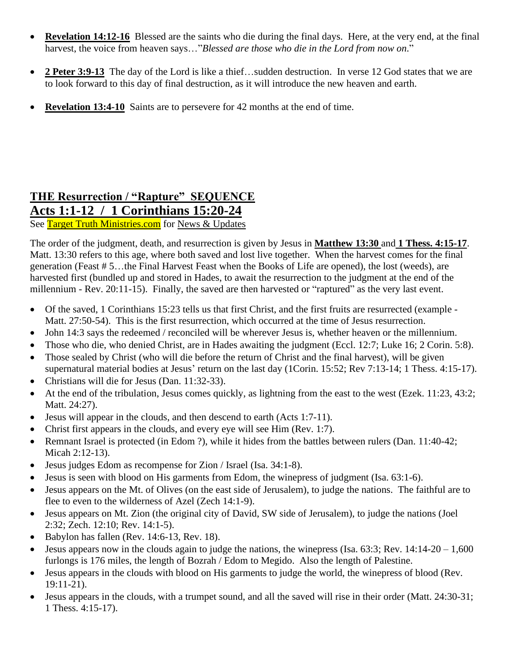- **Revelation 14:12-16** Blessed are the saints who die during the final days. Here, at the very end, at the final harvest, the voice from heaven says…"*Blessed are those who die in the Lord from now on*."
- **2 Peter 3:9-13** The day of the Lord is like a thief…sudden destruction. In verse 12 God states that we are to look forward to this day of final destruction, as it will introduce the new heaven and earth.
- **Revelation 13:4-10** Saints are to persevere for 42 months at the end of time.

## **THE Resurrection / "Rapture" SEQUENCE Acts 1:1-12 / 1 Corinthians 15:20-24**

See Target Truth Ministries.com for News & Updates

The order of the judgment, death, and resurrection is given by Jesus in **Matthew 13:30** and **1 Thess. 4:15-17**. Matt. 13:30 refers to this age, where both saved and lost live together. When the harvest comes for the final generation (Feast # 5…the Final Harvest Feast when the Books of Life are opened), the lost (weeds), are harvested first (bundled up and stored in Hades, to await the resurrection to the judgment at the end of the millennium - Rev. 20:11-15). Finally, the saved are then harvested or "raptured" as the very last event.

- Of the saved, 1 Corinthians 15:23 tells us that first Christ, and the first fruits are resurrected (example Matt. 27:50-54). This is the first resurrection, which occurred at the time of Jesus resurrection.
- John 14:3 says the redeemed / reconciled will be wherever Jesus is, whether heaven or the millennium.
- Those who die, who denied Christ, are in Hades awaiting the judgment (Eccl. 12:7; Luke 16; 2 Corin. 5:8).
- Those sealed by Christ (who will die before the return of Christ and the final harvest), will be given supernatural material bodies at Jesus' return on the last day (1Corin. 15:52; Rev 7:13-14; 1 Thess. 4:15-17).
- Christians will die for Jesus (Dan. 11:32-33).
- At the end of the tribulation, Jesus comes quickly, as lightning from the east to the west (Ezek. 11:23, 43:2; Matt. 24:27).
- Jesus will appear in the clouds, and then descend to earth (Acts 1:7-11).
- Christ first appears in the clouds, and every eye will see Him (Rev. 1:7).
- Remnant Israel is protected (in Edom ?), while it hides from the battles between rulers (Dan. 11:40-42; Micah 2:12-13).
- Jesus judges Edom as recompense for Zion / Israel (Isa. 34:1-8).
- Jesus is seen with blood on His garments from Edom, the winepress of judgment (Isa. 63:1-6).
- Jesus appears on the Mt. of Olives (on the east side of Jerusalem), to judge the nations. The faithful are to flee to even to the wilderness of Azel (Zech 14:1-9).
- Jesus appears on Mt. Zion (the original city of David, SW side of Jerusalem), to judge the nations (Joel 2:32; Zech. 12:10; Rev. 14:1-5).
- Babylon has fallen (Rev. 14:6-13, Rev. 18).
- Jesus appears now in the clouds again to judge the nations, the winepress (Isa.  $63:3$ ; Rev.  $14:14-20-1,600$ furlongs is 176 miles, the length of Bozrah / Edom to Megido. Also the length of Palestine.
- Jesus appears in the clouds with blood on His garments to judge the world, the winepress of blood (Rev. 19:11-21).
- Jesus appears in the clouds, with a trumpet sound, and all the saved will rise in their order (Matt. 24:30-31; 1 Thess. 4:15-17).